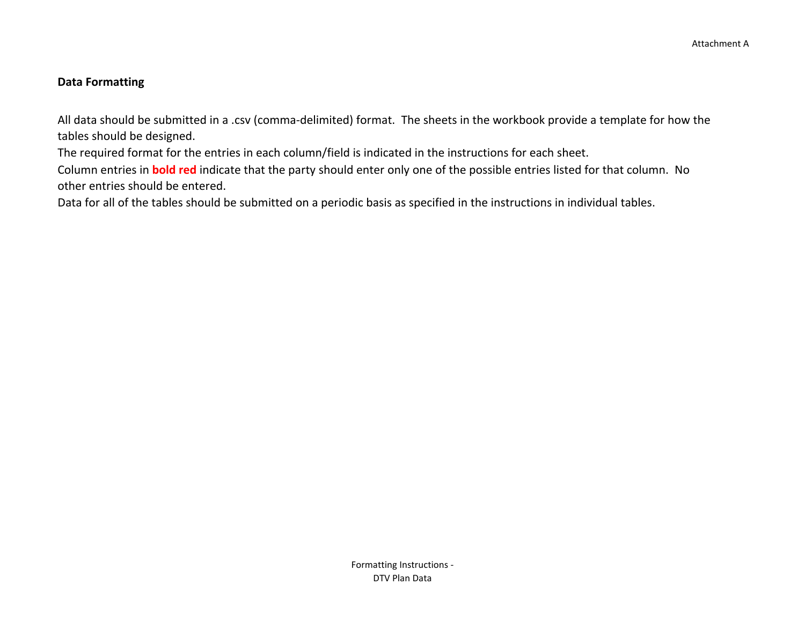#### **Data Formatting**

All data should be submitted in a .csv (comma-delimited) format. The sheets in the workbook provide a template for how the tables should be designed.

The required format for the entries in each column/field is indicated in the instructions for each sheet.

Column entries in **bold red** indicate that the party should enter only one of the possible entries listed for that column. No other entries should be entered.

Data for all of the tables should be submitted on a periodic basis as specified in the instructions in individual tables.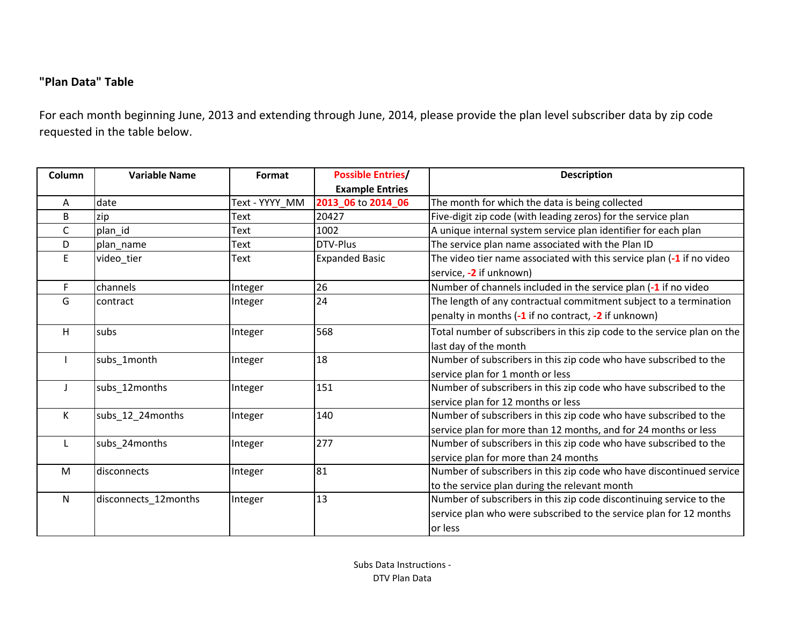# **"Plan Data" Table**

For each month beginning June, 2013 and extending through June, 2014, please provide the plan level subscriber data by zip code requested in the table below.

| Column | <b>Variable Name</b> | Format         | <b>Possible Entries/</b> | <b>Description</b>                                                      |  |  |  |  |  |  |
|--------|----------------------|----------------|--------------------------|-------------------------------------------------------------------------|--|--|--|--|--|--|
|        |                      |                | <b>Example Entries</b>   |                                                                         |  |  |  |  |  |  |
| Α      | date                 | Text - YYYY MM | 2013 06 to 2014 06       | The month for which the data is being collected                         |  |  |  |  |  |  |
| B      | zip                  | Text           | 20427                    | Five-digit zip code (with leading zeros) for the service plan           |  |  |  |  |  |  |
| C      | plan id              | Text           | 1002                     | A unique internal system service plan identifier for each plan          |  |  |  |  |  |  |
| D      | plan name            | Text           | DTV-Plus                 | The service plan name associated with the Plan ID                       |  |  |  |  |  |  |
| E.     | video_tier           | Text           | <b>Expanded Basic</b>    | The video tier name associated with this service plan (-1 if no video   |  |  |  |  |  |  |
|        |                      |                |                          | service, -2 if unknown)                                                 |  |  |  |  |  |  |
| F.     | channels             | Integer        | 26                       | Number of channels included in the service plan (-1 if no video         |  |  |  |  |  |  |
| G      | contract             | Integer        | 24                       | The length of any contractual commitment subject to a termination       |  |  |  |  |  |  |
|        |                      |                |                          | penalty in months (-1 if no contract, -2 if unknown)                    |  |  |  |  |  |  |
| н      | subs                 | Integer        | 568                      | Total number of subscribers in this zip code to the service plan on the |  |  |  |  |  |  |
|        |                      |                |                          | last day of the month                                                   |  |  |  |  |  |  |
|        | subs_1month          | Integer        | 18                       | Number of subscribers in this zip code who have subscribed to the       |  |  |  |  |  |  |
|        |                      |                |                          | service plan for 1 month or less                                        |  |  |  |  |  |  |
|        | subs_12months        | Integer        | 151                      | Number of subscribers in this zip code who have subscribed to the       |  |  |  |  |  |  |
|        |                      |                |                          | service plan for 12 months or less                                      |  |  |  |  |  |  |
| K      | subs_12_24months     | Integer        | 140                      | Number of subscribers in this zip code who have subscribed to the       |  |  |  |  |  |  |
|        |                      |                |                          | service plan for more than 12 months, and for 24 months or less         |  |  |  |  |  |  |
|        | subs_24months        | Integer        | 277                      | Number of subscribers in this zip code who have subscribed to the       |  |  |  |  |  |  |
|        |                      |                |                          | service plan for more than 24 months                                    |  |  |  |  |  |  |
| M      | disconnects          | Integer        | 81                       | Number of subscribers in this zip code who have discontinued service    |  |  |  |  |  |  |
|        |                      |                |                          | to the service plan during the relevant month                           |  |  |  |  |  |  |
| N      | disconnects_12months | Integer        | 13                       | Number of subscribers in this zip code discontinuing service to the     |  |  |  |  |  |  |
|        |                      |                |                          | service plan who were subscribed to the service plan for 12 months      |  |  |  |  |  |  |
|        |                      |                |                          | or less                                                                 |  |  |  |  |  |  |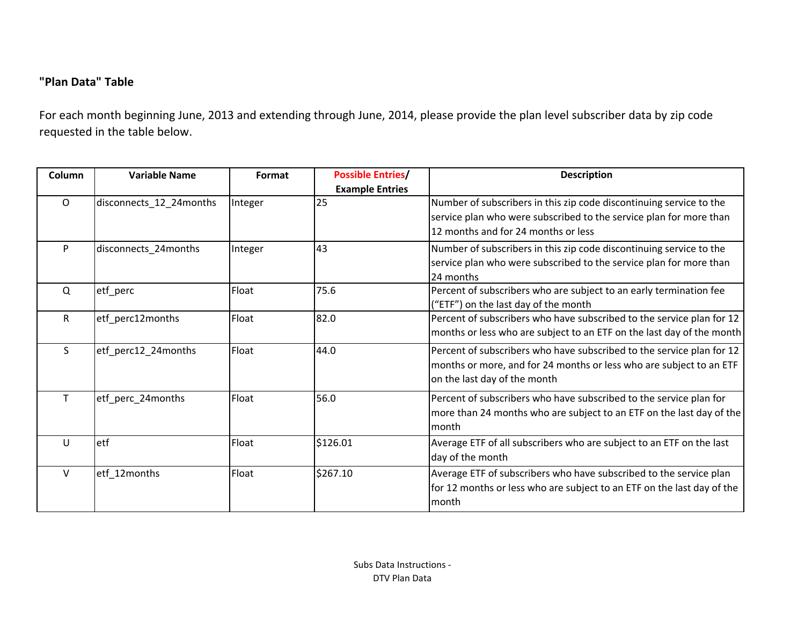# **"Plan Data" Table**

For each month beginning June, 2013 and extending through June, 2014, please provide the plan level subscriber data by zip code requested in the table below.

| Column  | <b>Variable Name</b>    | Format  | <b>Possible Entries/</b> | <b>Description</b>                                                                                                                                                               |  |  |  |  |  |  |
|---------|-------------------------|---------|--------------------------|----------------------------------------------------------------------------------------------------------------------------------------------------------------------------------|--|--|--|--|--|--|
|         |                         |         | <b>Example Entries</b>   |                                                                                                                                                                                  |  |  |  |  |  |  |
| $\circ$ | disconnects_12_24months | Integer | 25                       | Number of subscribers in this zip code discontinuing service to the<br>service plan who were subscribed to the service plan for more than<br>12 months and for 24 months or less |  |  |  |  |  |  |
| P       | disconnects_24months    | Integer | 43                       | Number of subscribers in this zip code discontinuing service to the<br>service plan who were subscribed to the service plan for more than<br>24 months                           |  |  |  |  |  |  |
| Q       | etf_perc                | Float   | 75.6                     | Percent of subscribers who are subject to an early termination fee<br>("ETF") on the last day of the month                                                                       |  |  |  |  |  |  |
| R       | etf_perc12months        | Float   | 82.0                     | Percent of subscribers who have subscribed to the service plan for 12<br>months or less who are subject to an ETF on the last day of the month                                   |  |  |  |  |  |  |
| S.      | etf_perc12_24months     | Float   | 44.0                     | Percent of subscribers who have subscribed to the service plan for 12<br>months or more, and for 24 months or less who are subject to an ETF<br>on the last day of the month     |  |  |  |  |  |  |
|         | etf_perc_24months       | Float   | 56.0                     | Percent of subscribers who have subscribed to the service plan for<br>more than 24 months who are subject to an ETF on the last day of the<br>month                              |  |  |  |  |  |  |
| U       | etf                     | Float   | \$126.01                 | Average ETF of all subscribers who are subject to an ETF on the last<br>day of the month                                                                                         |  |  |  |  |  |  |
| V       | etf_12months            | Float   | \$267.10                 | Average ETF of subscribers who have subscribed to the service plan<br>for 12 months or less who are subject to an ETF on the last day of the<br>month                            |  |  |  |  |  |  |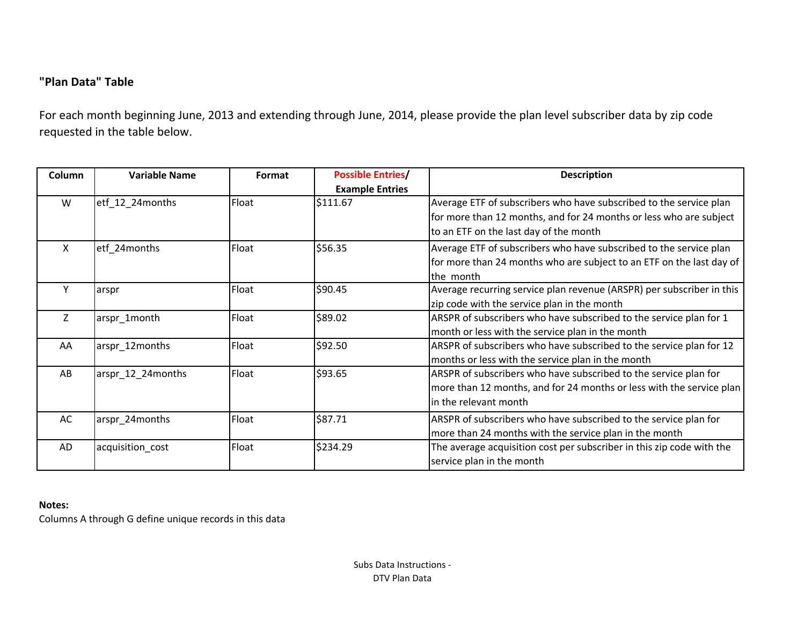# **"Plan Data" Table**

For each month beginning June, 2013 and extending through June, 2014, please provide the plan level subscriber data by zip code requested in the table below.

| Column | <b>Variable Name</b> | Format | <b>Possible Entries/</b><br><b>Example Entries</b> | <b>Description</b>                                                                                                                                                                 |  |  |  |  |  |  |  |  |
|--------|----------------------|--------|----------------------------------------------------|------------------------------------------------------------------------------------------------------------------------------------------------------------------------------------|--|--|--|--|--|--|--|--|
| W      | etf_12_24months      | Float  | \$111.67                                           | Average ETF of subscribers who have subscribed to the service plan<br>for more than 12 months, and for 24 months or less who are subject<br>to an ETF on the last day of the month |  |  |  |  |  |  |  |  |
| X      | etf 24months         | Float  | \$56.35                                            | Average ETF of subscribers who have subscribed to the service plan<br>for more than 24 months who are subject to an ETF on the last day of<br>the month                            |  |  |  |  |  |  |  |  |
| Υ      | arspr                | Float  | \$90.45                                            | Average recurring service plan revenue (ARSPR) per subscriber in this<br>zip code with the service plan in the month                                                               |  |  |  |  |  |  |  |  |
| Z      | arspr_1month         | Float  | \$89.02                                            | ARSPR of subscribers who have subscribed to the service plan for 1<br>month or less with the service plan in the month                                                             |  |  |  |  |  |  |  |  |
| AA     | arspr_12months       | Float  | \$92.50                                            | ARSPR of subscribers who have subscribed to the service plan for 12<br>months or less with the service plan in the month                                                           |  |  |  |  |  |  |  |  |
| AB     | arspr_12_24months    | Float  | \$93.65                                            | ARSPR of subscribers who have subscribed to the service plan for<br>more than 12 months, and for 24 months or less with the service plan<br>in the relevant month                  |  |  |  |  |  |  |  |  |
| AC     | arspr_24months       | Float  | \$87.71                                            | ARSPR of subscribers who have subscribed to the service plan for<br>more than 24 months with the service plan in the month                                                         |  |  |  |  |  |  |  |  |
| AD     | acquisition_cost     | Float  | \$234.29                                           | The average acquisition cost per subscriber in this zip code with the<br>service plan in the month                                                                                 |  |  |  |  |  |  |  |  |

#### **Notes:**

Columns A through G define unique records in this data